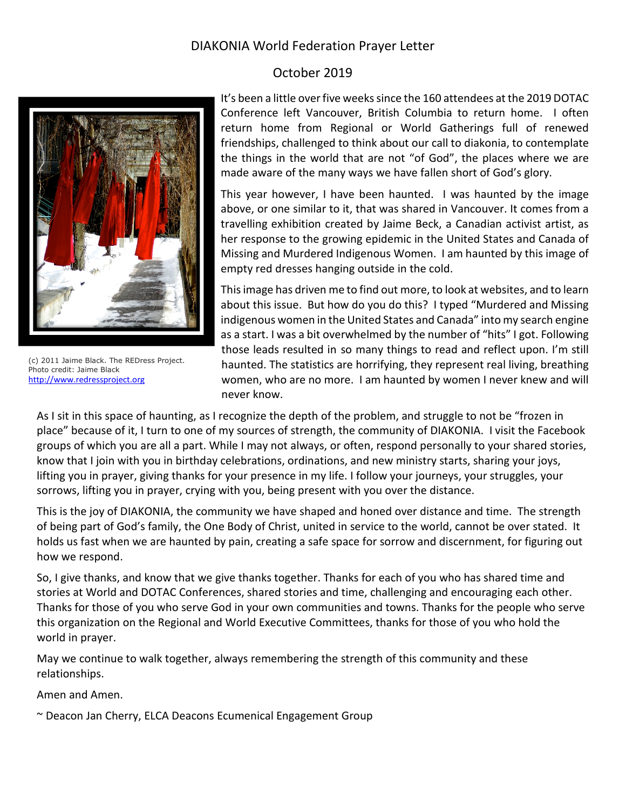## DIAKONIA World Federation Prayer Letter

## October 2019



(c) 2011 Jaime Black. The REDress Project. Photo credit: Jaime Black [http://www.redressproject.org](http://www.redressproject.org/)

It's been a little over five weeks since the 160 attendees at the 2019 DOTAC Conference left Vancouver, British Columbia to return home. I often return home from Regional or World Gatherings full of renewed friendships, challenged to think about our call to diakonia, to contemplate the things in the world that are not "of God", the places where we are made aware of the many ways we have fallen short of God's glory.

This year however, I have been haunted. I was haunted by the image above, or one similar to it, that was shared in Vancouver. It comes from a travelling exhibition created by Jaime Beck, a Canadian activist artist, as her response to the growing epidemic in the United States and Canada of Missing and Murdered Indigenous Women. I am haunted by this image of empty red dresses hanging outside in the cold.

This image has driven me to find out more, to look at websites, and to learn about this issue. But how do you do this? I typed "Murdered and Missing indigenous women in the United States and Canada" into my search engine as a start. I was a bit overwhelmed by the number of "hits" I got. Following those leads resulted in so many things to read and reflect upon. I'm still haunted. The statistics are horrifying, they represent real living, breathing women, who are no more. I am haunted by women I never knew and will never know.

As I sit in this space of haunting, as I recognize the depth of the problem, and struggle to not be "frozen in place" because of it, I turn to one of my sources of strength, the community of DIAKONIA. I visit the Facebook groups of which you are all a part. While I may not always, or often, respond personally to your shared stories, know that I join with you in birthday celebrations, ordinations, and new ministry starts, sharing your joys, lifting you in prayer, giving thanks for your presence in my life. I follow your journeys, your struggles, your sorrows, lifting you in prayer, crying with you, being present with you over the distance.

This is the joy of DIAKONIA, the community we have shaped and honed over distance and time. The strength of being part of God's family, the One Body of Christ, united in service to the world, cannot be over stated. It holds us fast when we are haunted by pain, creating a safe space for sorrow and discernment, for figuring out how we respond.

So, I give thanks, and know that we give thanks together. Thanks for each of you who has shared time and stories at World and DOTAC Conferences, shared stories and time, challenging and encouraging each other. Thanks for those of you who serve God in your own communities and towns. Thanks for the people who serve this organization on the Regional and World Executive Committees, thanks for those of you who hold the world in prayer.

May we continue to walk together, always remembering the strength of this community and these relationships.

Amen and Amen.

~ Deacon Jan Cherry, ELCA Deacons Ecumenical Engagement Group